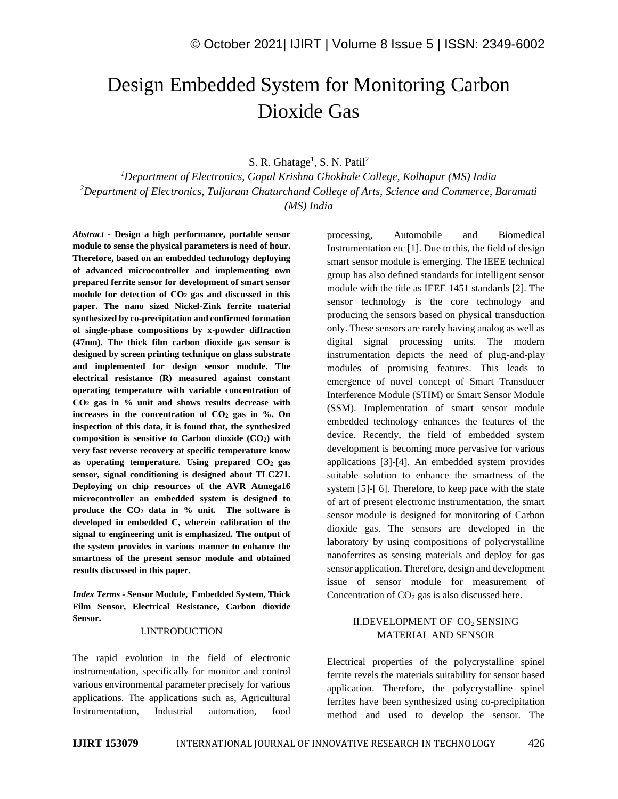# Design Embedded System for Monitoring Carbon Dioxide Gas

S. R. Ghatage<sup>1</sup>, S. N. Patil<sup>2</sup>

*<sup>1</sup>Department of Electronics, Gopal Krishna Ghokhale College, Kolhapur (MS) India <sup>2</sup>Department of Electronics, Tuljaram Chaturchand College of Arts, Science and Commerce, Baramati (MS) India* 

*Abstract -* **Design a high performance, portable sensor module to sense the physical parameters is need of hour. Therefore, based on an embedded technology deploying of advanced microcontroller and implementing own prepared ferrite sensor for development of smart sensor module for detection of CO<sup>2</sup> gas and discussed in this paper. The nano sized Nickel-Zink ferrite material synthesized by co-precipitation and confirmed formation of single-phase compositions by x-powder diffraction (47nm). The thick film carbon dioxide gas sensor is designed by screen printing technique on glass substrate and implemented for design sensor module. The electrical resistance (R) measured against constant operating temperature with variable concentration of CO<sup>2</sup> gas in % unit and shows results decrease with increases in the concentration of CO<sup>2</sup> gas in %. On inspection of this data, it is found that, the synthesized composition is sensitive to Carbon dioxide (CO2) with very fast reverse recovery at specific temperature know as operating temperature. Using prepared CO2 gas sensor, signal conditioning is designed about TLC271. Deploying on chip resources of the AVR Atmega16 microcontroller an embedded system is designed to produce the CO<sup>2</sup> data in % unit. The software is developed in embedded C, wherein calibration of the signal to engineering unit is emphasized. The output of the system provides in various manner to enhance the smartness of the present sensor module and obtained results discussed in this paper.** 

*Index Terms -* **Sensor Module, Embedded System, Thick Film Sensor, Electrical Resistance, Carbon dioxide Sensor.**

#### I.INTRODUCTION

The rapid evolution in the field of electronic instrumentation, specifically for monitor and control various environmental parameter precisely for various applications. The applications such as, Agricultural Instrumentation, Industrial automation, food

processing, Automobile and Biomedical Instrumentation etc [1]. Due to this, the field of design smart sensor module is emerging. The IEEE technical group has also defined standards for intelligent sensor module with the title as IEEE 1451 standards [2]. The sensor technology is the core technology and producing the sensors based on physical transduction only. These sensors are rarely having analog as well as digital signal processing units. The modern instrumentation depicts the need of plug-and-play modules of promising features. This leads to emergence of novel concept of Smart Transducer Interference Module (STIM) or Smart Sensor Module (SSM). Implementation of smart sensor module embedded technology enhances the features of the device. Recently, the field of embedded system development is becoming more pervasive for various applications [3]-[4]. An embedded system provides suitable solution to enhance the smartness of the system [5]-[ 6]. Therefore, to keep pace with the state of art of present electronic instrumentation, the smart sensor module is designed for monitoring of Carbon dioxide gas. The sensors are developed in the laboratory by using compositions of polycrystalline nanoferrites as sensing materials and deploy for gas sensor application. Therefore, design and development issue of sensor module for measurement of Concentration of  $CO<sub>2</sub>$  gas is also discussed here.

## II.DEVELOPMENT OF CO<sub>2</sub> SENSING MATERIAL AND SENSOR

Electrical properties of the polycrystalline spinel ferrite revels the materials suitability for sensor based application. Therefore, the polycrystalline spinel ferrites have been synthesized using co-precipitation method and used to develop the sensor. The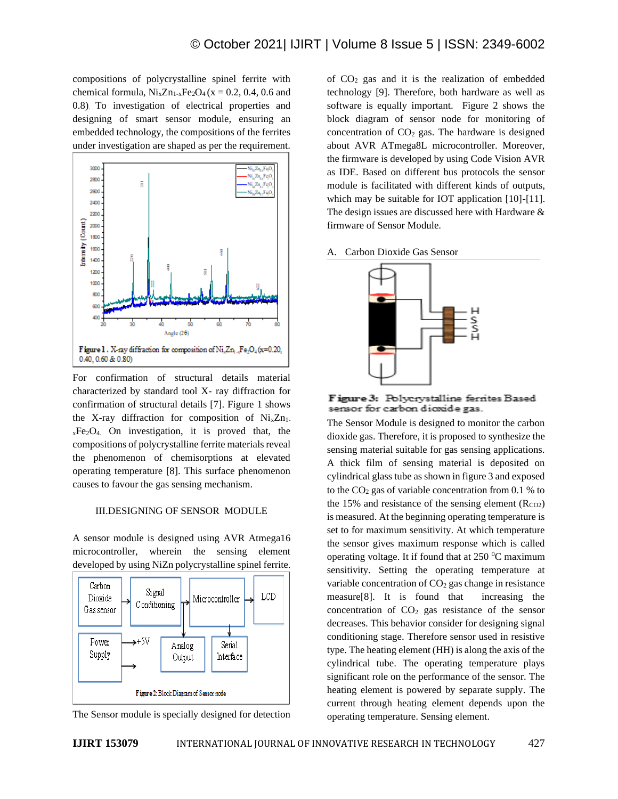compositions of polycrystalline spinel ferrite with chemical formula,  $Ni_xZn_{1-x}Fe_2O_4$  (x = 0.2, 0.4, 0.6 and 0.8). To investigation of electrical properties and designing of smart sensor module, ensuring an embedded technology, the compositions of the ferrites under investigation are shaped as per the requirement.



For confirmation of structural details material characterized by standard tool X- ray diffraction for confirmation of structural details [7]. Figure 1 shows the X-ray diffraction for composition of  $N_iZ_{n_1}$ .  $xFe<sub>2</sub>O<sub>4</sub>$  On investigation, it is proved that, the compositions of polycrystalline ferrite materials reveal the phenomenon of chemisorptions at elevated operating temperature [8]. This surface phenomenon causes to favour the gas sensing mechanism.

### III.DESIGNING OF SENSOR MODULE

A sensor module is designed using AVR Atmega16 microcontroller, wherein the sensing element developed by using NiZn polycrystalline spinel ferrite.



The Sensor module is specially designed for detection

of  $CO<sub>2</sub>$  gas and it is the realization of embedded technology [9]. Therefore, both hardware as well as software is equally important. Figure 2 shows the block diagram of sensor node for monitoring of concentration of  $CO<sub>2</sub>$  gas. The hardware is designed about AVR ATmega8L microcontroller. Moreover, the firmware is developed by using Code Vision AVR as IDE. Based on different bus protocols the sensor module is facilitated with different kinds of outputs, which may be suitable for IOT application [10]-[11]. The design issues are discussed here with Hardware & firmware of Sensor Module.

A. Carbon Dioxide Gas Sensor



Figure 3: Polycrystalline ferrites Based sensor for carbon dioxide gas.

The Sensor Module is designed to monitor the carbon dioxide gas. Therefore, it is proposed to synthesize the sensing material suitable for gas sensing applications. A thick film of sensing material is deposited on cylindrical glass tube as shown in figure 3 and exposed to the  $CO<sub>2</sub>$  gas of variable concentration from 0.1 % to the 15% and resistance of the sensing element  $(R<sub>CO2</sub>)$ is measured. At the beginning operating temperature is set to for maximum sensitivity. At which temperature the sensor gives maximum response which is called operating voltage. It if found that at  $250\text{ °C}$  maximum sensitivity. Setting the operating temperature at variable concentration of  $CO<sub>2</sub>$  gas change in resistance measure[8]. It is found that increasing the concentration of  $CO<sub>2</sub>$  gas resistance of the sensor decreases. This behavior consider for designing signal conditioning stage. Therefore sensor used in resistive type. The heating element (HH) is along the axis of the cylindrical tube. The operating temperature plays significant role on the performance of the sensor. The heating element is powered by separate supply. The current through heating element depends upon the operating temperature. Sensing element.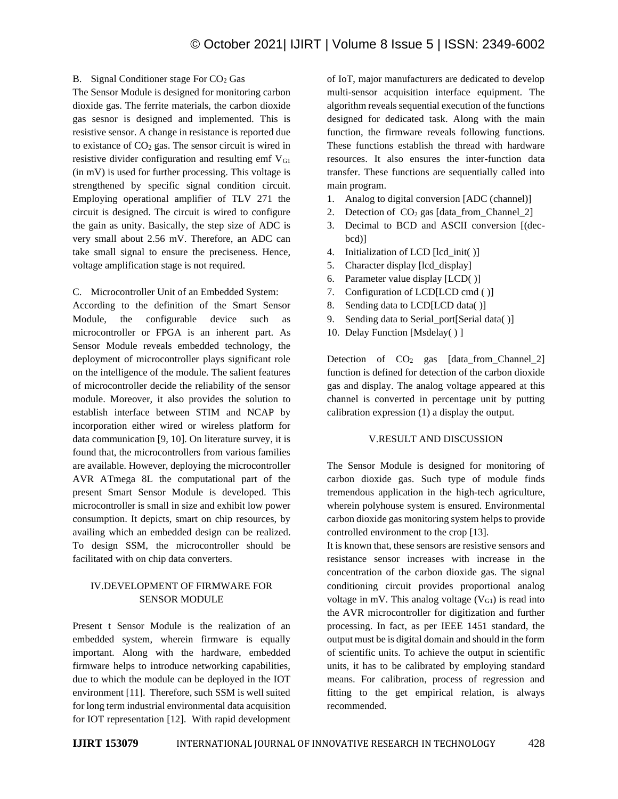## B. Signal Conditioner stage For  $CO<sub>2</sub>$  Gas

The Sensor Module is designed for monitoring carbon dioxide gas. The ferrite materials, the carbon dioxide gas sesnor is designed and implemented. This is resistive sensor. A change in resistance is reported due to existance of  $CO<sub>2</sub>$  gas. The sensor circuit is wired in resistive divider configuration and resulting emf  $V_{GI}$ (in mV) is used for further processing. This voltage is strengthened by specific signal condition circuit. Employing operational amplifier of TLV 271 the circuit is designed. The circuit is wired to configure the gain as unity. Basically, the step size of ADC is very small about 2.56 mV. Therefore, an ADC can take small signal to ensure the preciseness. Hence, voltage amplification stage is not required.

C. Microcontroller Unit of an Embedded System:

According to the definition of the Smart Sensor Module, the configurable device such as microcontroller or FPGA is an inherent part. As Sensor Module reveals embedded technology, the deployment of microcontroller plays significant role on the intelligence of the module. The salient features of microcontroller decide the reliability of the sensor module. Moreover, it also provides the solution to establish interface between STIM and NCAP by incorporation either wired or wireless platform for data communication [9, 10]. On literature survey, it is found that, the microcontrollers from various families are available. However, deploying the microcontroller AVR ATmega 8L the computational part of the present Smart Sensor Module is developed. This microcontroller is small in size and exhibit low power consumption. It depicts, smart on chip resources, by availing which an embedded design can be realized. To design SSM, the microcontroller should be facilitated with on chip data converters.

## IV.DEVELOPMENT OF FIRMWARE FOR SENSOR MODULE

Present t Sensor Module is the realization of an embedded system, wherein firmware is equally important. Along with the hardware, embedded firmware helps to introduce networking capabilities, due to which the module can be deployed in the IOT environment [11]. Therefore, such SSM is well suited for long term industrial environmental data acquisition for IOT representation [12]. With rapid development of IoT, major manufacturers are dedicated to develop multi-sensor acquisition interface equipment. The algorithm reveals sequential execution of the functions designed for dedicated task. Along with the main function, the firmware reveals following functions. These functions establish the thread with hardware resources. It also ensures the inter-function data transfer. These functions are sequentially called into main program.

- 1. Analog to digital conversion [ADC (channel)]
- 2. Detection of  $CO<sub>2</sub>$  gas [data from Channel 2]
- 3. Decimal to BCD and ASCII conversion [(decbcd)]
- 4. Initialization of LCD [lcd\_init( )]
- 5. Character display [lcd\_display]
- 6. Parameter value display [LCD( )]
- 7. Configuration of LCD[LCD cmd ( )]
- 8. Sending data to LCD[LCD data( )]
- 9. Sending data to Serial port[Serial data( )]
- 10. Delay Function [Msdelay( ) ]

Detection of  $CO<sub>2</sub>$  gas [data from Channel 2] function is defined for detection of the carbon dioxide gas and display. The analog voltage appeared at this channel is converted in percentage unit by putting calibration expression (1) a display the output.

### V.RESULT AND DISCUSSION

The Sensor Module is designed for monitoring of carbon dioxide gas. Such type of module finds tremendous application in the high-tech agriculture, wherein polyhouse system is ensured. Environmental carbon dioxide gas monitoring system helps to provide controlled environment to the crop [13].

It is known that, these sensors are resistive sensors and resistance sensor increases with increase in the concentration of the carbon dioxide gas. The signal conditioning circuit provides proportional analog voltage in mV. This analog voltage  $(V_{G1})$  is read into the AVR microcontroller for digitization and further processing. In fact, as per IEEE 1451 standard, the output must be is digital domain and should in the form of scientific units. To achieve the output in scientific units, it has to be calibrated by employing standard means. For calibration, process of regression and fitting to the get empirical relation, is always recommended.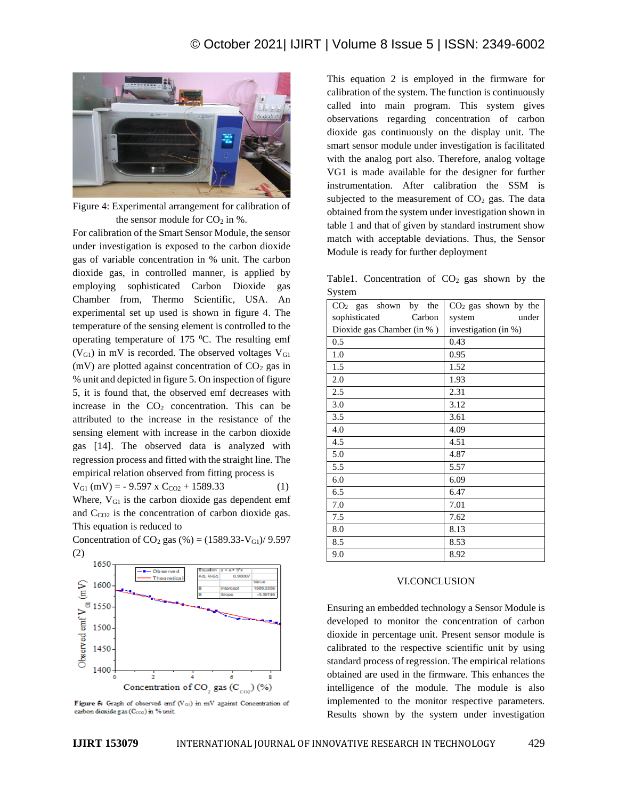

Figure 4: Experimental arrangement for calibration of the sensor module for  $CO<sub>2</sub>$  in %.

For calibration of the Smart Sensor Module, the sensor under investigation is exposed to the carbon dioxide gas of variable concentration in % unit. The carbon dioxide gas, in controlled manner, is applied by employing sophisticated Carbon Dioxide gas Chamber from, Thermo Scientific, USA. An experimental set up used is shown in figure 4. The temperature of the sensing element is controlled to the operating temperature of  $175$  °C. The resulting emf  $(V_{\text{G1}})$  in mV is recorded. The observed voltages  $V_{\text{G1}}$ (mV) are plotted against concentration of  $CO<sub>2</sub>$  gas in % unit and depicted in figure 5. On inspection of figure 5, it is found that, the observed emf decreases with increase in the  $CO<sub>2</sub>$  concentration. This can be attributed to the increase in the resistance of the sensing element with increase in the carbon dioxide gas [14]. The observed data is analyzed with regression process and fitted with the straight line. The empirical relation observed from fitting process is

 $V_{\text{G1}}$  (mV) = - 9.597 x C<sub>CO2</sub> + 1589.33 (1)

Where,  $V_{GI}$  is the carbon dioxide gas dependent emf and  $C_{CO2}$  is the concentration of carbon dioxide gas. This equation is reduced to

Concentration of CO<sub>2</sub> gas (%) = (1589.33-V<sub>G1</sub>)/ 9.597 (2)



Figure 5: Graph of observed emf (VGI) in mV against Concentration of carbon dioxide gas (Cco2) in % unit.

This equation 2 is employed in the firmware for calibration of the system. The function is continuously called into main program. This system gives observations regarding concentration of carbon dioxide gas continuously on the display unit. The smart sensor module under investigation is facilitated with the analog port also. Therefore, analog voltage VG1 is made available for the designer for further instrumentation. After calibration the SSM is subjected to the measurement of  $CO<sub>2</sub>$  gas. The data obtained from the system under investigation shown in table 1 and that of given by standard instrument show match with acceptable deviations. Thus, the Sensor Module is ready for further deployment

Table1. Concentration of  $CO<sub>2</sub>$  gas shown by the System

| $CO2$ gas shown<br>by<br>the | $CO2$ gas shown by the |
|------------------------------|------------------------|
| sophisticated<br>Carbon      | under<br>system        |
| Dioxide gas Chamber (in %)   | investigation (in %)   |
| 0.5                          | 0.43                   |
| 1.0                          | 0.95                   |
| 1.5                          | 1.52                   |
| 2.0                          | 1.93                   |
| 2.5                          | 2.31                   |
| 3.0                          | 3.12                   |
| 3.5                          | 3.61                   |
| 4.0                          | 4.09                   |
| 4.5                          | 4.51                   |
| 5.0                          | 4.87                   |
| 5.5                          | 5.57                   |
| 6.0                          | 6.09                   |
| 6.5                          | 6.47                   |
| 7.0                          | 7.01                   |
| 7.5                          | 7.62                   |
| 8.0                          | 8.13                   |
| 8.5                          | 8.53                   |
| 9.0                          | 8.92                   |

#### VI.CONCLUSION

Ensuring an embedded technology a Sensor Module is developed to monitor the concentration of carbon dioxide in percentage unit. Present sensor module is calibrated to the respective scientific unit by using standard process of regression. The empirical relations obtained are used in the firmware. This enhances the intelligence of the module. The module is also implemented to the monitor respective parameters. Results shown by the system under investigation